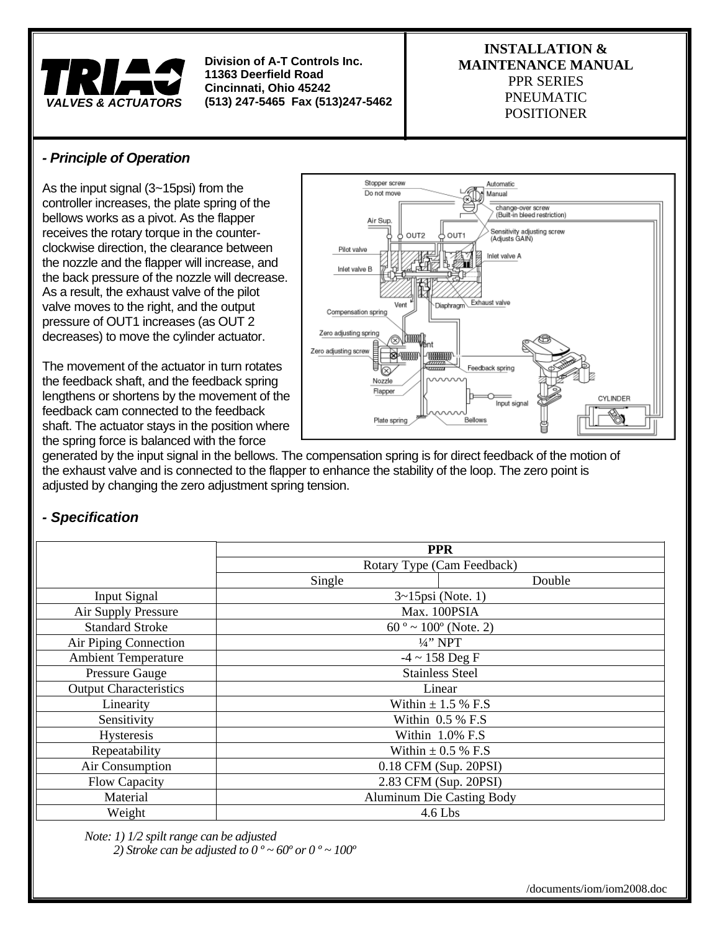

#### **INSTALLATION & MAINTENANCE MANUAL**  PPR SERIES PNEUMATIC POSITIONER

# *- Principle of Operation*

As the input signal (3~15psi) from the controller increases, the plate spring of the bellows works as a pivot. As the flapper receives the rotary torque in the counterclockwise direction, the clearance between the nozzle and the flapper will increase, and the back pressure of the nozzle will decrease. As a result, the exhaust valve of the pilot valve moves to the right, and the output pressure of OUT1 increases (as OUT 2 decreases) to move the cylinder actuator.

The movement of the actuator in turn rotates the feedback shaft, and the feedback spring lengthens or shortens by the movement of the feedback cam connected to the feedback shaft. The actuator stays in the position where the spring force is balanced with the force



generated by the input signal in the bellows. The compensation spring is for direct feedback of the motion of the exhaust valve and is connected to the flapper to enhance the stability of the loop. The zero point is adjusted by changing the zero adjustment spring tension.

# *- Specification*

|                               | <b>PPR</b>                          |        |
|-------------------------------|-------------------------------------|--------|
|                               | Rotary Type (Cam Feedback)          |        |
|                               | Single                              | Double |
| <b>Input Signal</b>           | $3 \sim 15$ psi (Note. 1)           |        |
| Air Supply Pressure           | Max. 100PSIA                        |        |
| <b>Standard Stroke</b>        | $60^\circ \sim 100^\circ$ (Note. 2) |        |
| Air Piping Connection         | $\frac{1}{4}$ " NPT                 |        |
| <b>Ambient Temperature</b>    | $-4 \sim 158$ Deg F                 |        |
| <b>Pressure Gauge</b>         | <b>Stainless Steel</b>              |        |
| <b>Output Characteristics</b> | Linear                              |        |
| Linearity                     | Within $\pm$ 1.5 % F.S              |        |
| Sensitivity                   | Within 0.5 % F.S                    |        |
| Hysteresis                    | Within 1.0% F.S                     |        |
| Repeatability                 | Within $\pm$ 0.5 % F.S              |        |
| Air Consumption               | 0.18 CFM (Sup. 20PSI)               |        |
| Flow Capacity                 | 2.83 CFM (Sup. 20PSI)               |        |
| Material                      | <b>Aluminum Die Casting Body</b>    |        |
| Weight                        | $4.6$ Lbs                           |        |

*Note: 1) 1/2 spilt range can be adjusted 2) Stroke can be adjusted to 0 º ~ 60º or 0 º ~ 100º*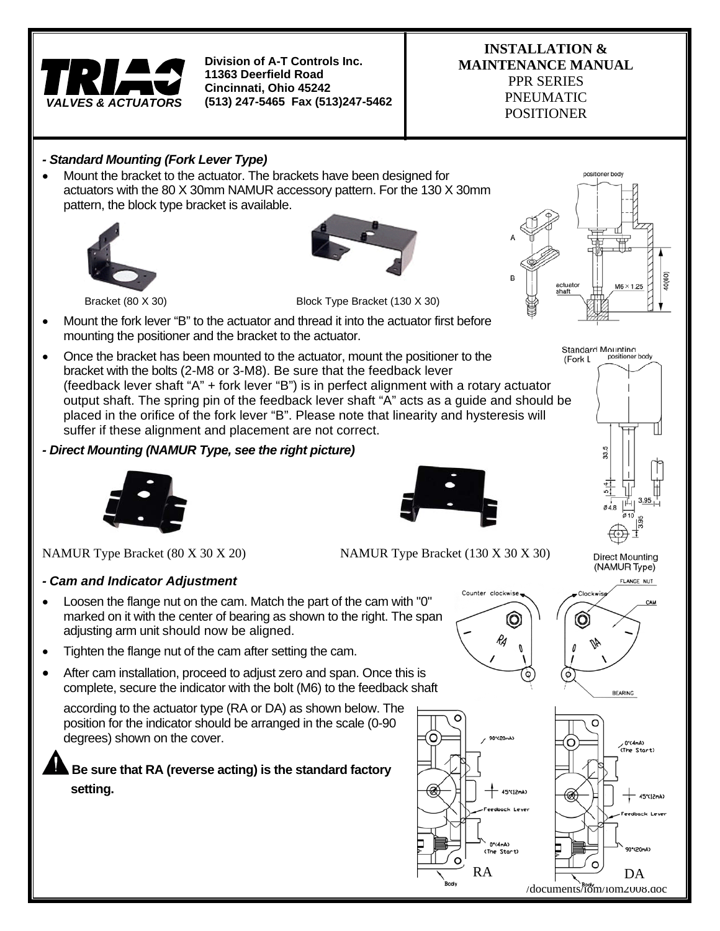

#### **INSTALLATION & MAINTENANCE MANUAL**  PPR SERIES PNEUMATIC

POSITIONER

### *- Standard Mounting (Fork Lever Type)*

 Mount the bracket to the actuator. The brackets have been designed for actuators with the 80 X 30mm NAMUR accessory pattern. For the 130 X 30mm pattern, the block type bracket is available.





Bracket (80 X 30) Block Type Bracket (130 X 30)

- Mount the fork lever "B" to the actuator and thread it into the actuator first before mounting the positioner and the bracket to the actuator.
- Once the bracket has been mounted to the actuator, mount the positioner to the bracket with the bolts (2-M8 or 3-M8). Be sure that the feedback lever (feedback lever shaft "A" + fork lever "B") is in perfect alignment with a rotary actuator output shaft. The spring pin of the feedback lever shaft "A" acts as a guide and should be placed in the orifice of the fork lever "B". Please note that linearity and hysteresis will suffer if these alignment and placement are not correct.

#### *- Direct Mounting (NAMUR Type, see the right picture)*



NAMUR Type Bracket (80 X 30 X 20) NAMUR Type Bracket (130 X 30 X 30)

#### *- Cam and Indicator Adjustment*

- Loosen the flange nut on the cam. Match the part of the cam with "0" marked on it with the center of bearing as shown to the right. The span adjusting arm unit should now be aligned.
- Tighten the flange nut of the cam after setting the cam.
- After cam installation, proceed to adjust zero and span. Once this is complete, secure the indicator with the bolt (M6) to the feedback shaft

according to the actuator type (RA or DA) as shown below. The position for the indicator should be arranged in the scale (0-90 degrees) shown on the cover.

**Be sure that RA (reverse acting) is the standard factory setting.** 









**Direct Mounting** (NAMUR Type) FLANGE NUT



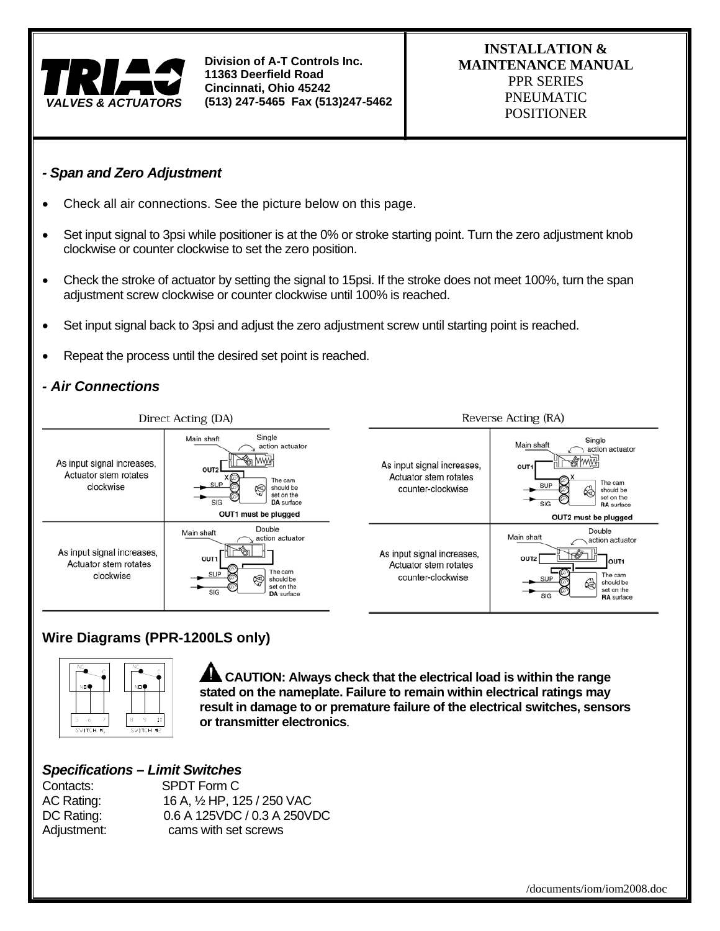

#### *- Span and Zero Adjustment*

- Check all air connections. See the picture below on this page.
- Set input signal to 3psi while positioner is at the 0% or stroke starting point. Turn the zero adjustment knob clockwise or counter clockwise to set the zero position.
- Check the stroke of actuator by setting the signal to 15psi. If the stroke does not meet 100%, turn the span adjustment screw clockwise or counter clockwise until 100% is reached.
- Set input signal back to 3psi and adjust the zero adjustment screw until starting point is reached.
- Repeat the process until the desired set point is reached.

#### *- Air Connections*



#### **Wire Diagrams (PPR-1200LS only)**



**CAUTION: Always check that the electrical load is within the range stated on the nameplate. Failure to remain within electrical ratings may result in damage to or premature failure of the electrical switches, sensors or transmitter electronics**.

#### *Specifications – Limit Switches*

Contacts: SPDT Form C AC Rating: 16 A, ½ HP, 125 / 250 VAC DC Rating: 0.6 A 125VDC / 0.3 A 250VDC Adjustment: cams with set screws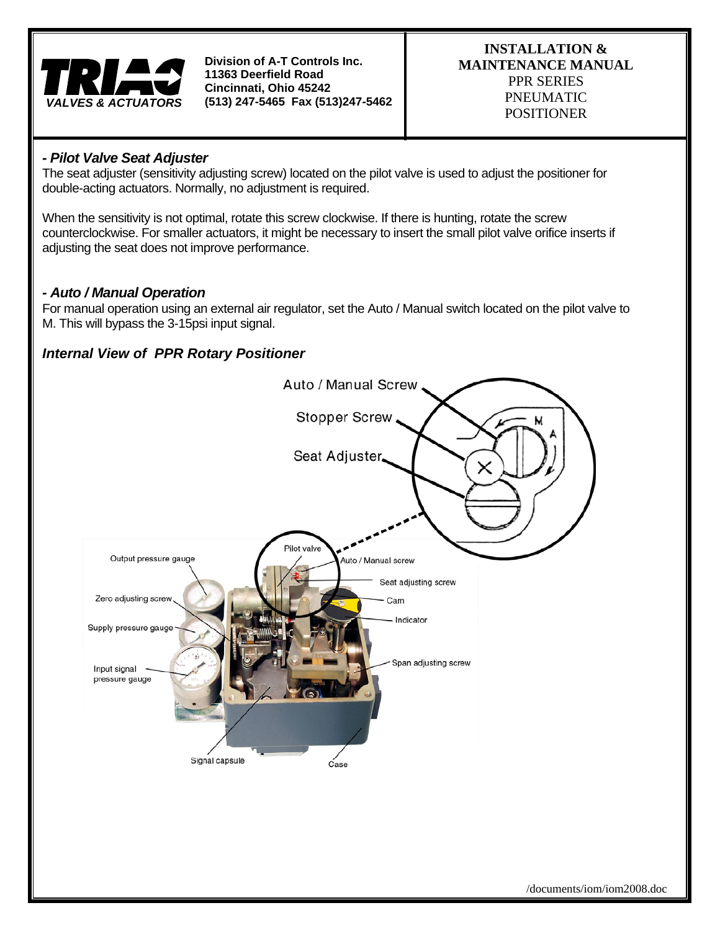

#### **INSTALLATION & MAINTENANCE MANUAL**  PPR SERIES PNEUMATIC POSITIONER

#### *- Pilot Valve Seat Adjuster*

The seat adjuster (sensitivity adjusting screw) located on the pilot valve is used to adjust the positioner for double-acting actuators. Normally, no adjustment is required.

When the sensitivity is not optimal, rotate this screw clockwise. If there is hunting, rotate the screw counterclockwise. For smaller actuators, it might be necessary to insert the small pilot valve orifice inserts if adjusting the seat does not improve performance.

### *- Auto / Manual Operation*

For manual operation using an external air regulator, set the Auto / Manual switch located on the pilot valve to M. This will bypass the 3-15psi input signal.

## *Internal View of PPR Rotary Positioner*